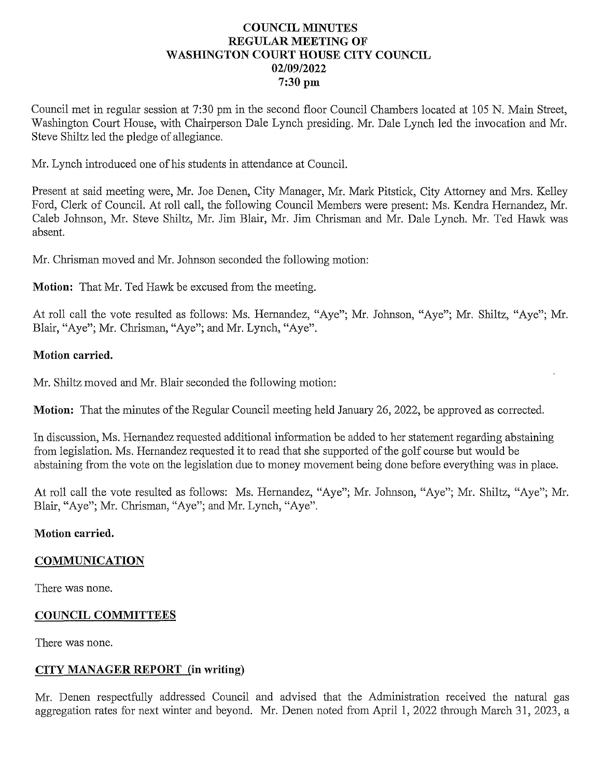#### **COUNCIL MINUTES** REGULAR MEETING OF WASHINGTON COURT HOUSE CITY COUNCIL 02/09/2022 7:30 pm

Council met in regular session at 7:30 pm in the second floor Council Chambers located at 105 N. Main Street, Washington Court House, with Chairperson Dale Lynch presiding. Mr. Dale Lynch led the invocation and Mr. Steve Shiltz led the pledge of allegiance.

Mr. Lynch introduced one of his students in attendance at Council.

Present at said meeting were, Mr. Joe Denen, City Manager, Mr. Mark Pitstick, City Attorney and Mrs. Kelley Ford, Clerk of Council. At roll call, the following Council Members were present: Ms. Kendra Hernandez, Mr. Caleb Johnson, Mr. Steve Shiltz, Mr. Jim Blair, Mr. Jim Chrisman and Mr. Dale Lynch. Mr. Ted Hawk was absent.

Mr. Chrisman moved and Mr. Johnson seconded the following motion:

**Motion:** That Mr. Ted Hawk be excused from the meeting.

At roll call the vote resulted as follows: Ms. Hernandez, "Aye"; Mr. Johnson, "Aye"; Mr. Shiltz, "Aye"; Mr. Blair, "Aye"; Mr. Chrisman, "Aye"; and Mr. Lynch, "Aye".

#### Motion carried.

Mr. Shiltz moved and Mr. Blair seconded the following motion:

Motion: That the minutes of the Regular Council meeting held January 26, 2022, be approved as corrected.

In discussion, Ms. Hernandez requested additional information be added to her statement regarding abstaining from legislation. Ms. Hernandez requested it to read that she supported of the golf course but would be abstaining from the vote on the legislation due to money movement being done before everything was in place.

At roll call the vote resulted as follows: Ms. Hernandez, "Aye"; Mr. Johnson, "Aye"; Mr. Shiltz, "Aye"; Mr. Blair, "Aye"; Mr. Chrisman, "Aye"; and Mr. Lynch, "Aye".

#### Motion carried.

#### COMMUNICATION

There was none.

#### COUNCIL COMMITTEES

There was none.

#### CITY MANAGER REPORT (in writing)

Mr. Denen respectfully addressed Council and advised that the Administration received the natural gas aggregation rates for next winter and beyond. Mr. Denen noted from April 1, 2022 through March 31, 2023,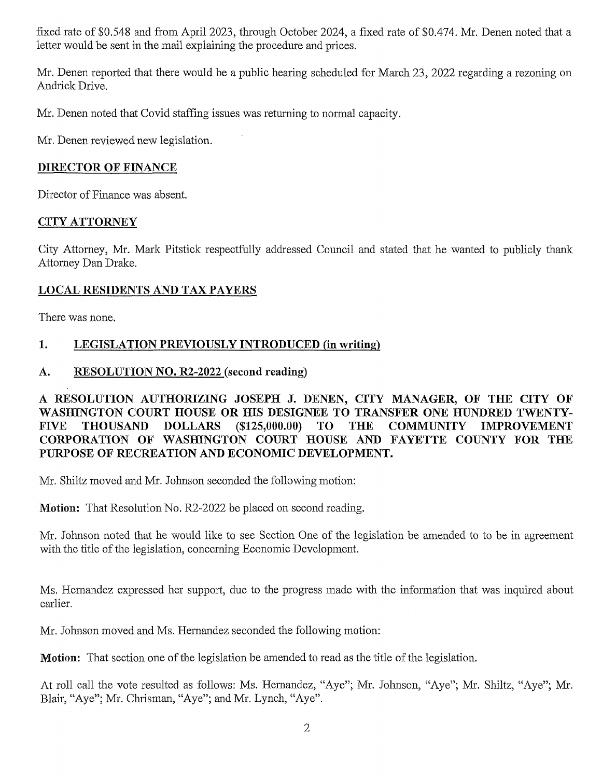fixed rate of \$0.548 and from April 2023, through October 2024, a fixed rate of \$0.474. Mr. Denen noted that a letter would be sent in the mail explaining the procedure and prices.

Mr. Denen reported that there would be a public hearing scheduled for March 23, 2022 regarding a rezoning on Andrick Drive.

Mr. Denen noted that Covid staffing issues was returning to normal capacity.

Mr. Denen reviewed new legislation.

#### DIRECTOR OF FINANCE

Director of Finance was absent.

#### CITYATTORNEY

City Attorney, Mr. Mark Pitstick respectfully addressed Council and stated that he wanted to publicly thank Attorney DanDrake.

#### LOCAL RESIDENTS AND TAX PAYERS

There was none.

# 1. LEGISLATION PREVIOUSLY INTRODUCED (in writing)

#### A. RESOLUTION NO. R2-2022 (second reading)

RESOLUTION AUTHORIZING JOSEPH J. DENEN, CITY MANAGER, OF THE CITY OF A RESOLUTION AUTHORIZING JOSEPH J. DENEN, CITY MANAGER, OF THE CITY OF WASHINGTON COURT HOUSE OR HIS DESIGNEE TO TRANSFER ONE HUNDRED TWENTY-WASHINGTON COURT HOUSE OR HIS DESIGNEE TO TRANSFER ONE HUNDRED TWENTY-<br>FIVE THOUSAND DOLLARS (\$125,000.00) TO THE COMMUNITY IMPROVEMENT FIVE THOUSAND DOLLARS (\$125,000.00) TO THE COMMUNITY IMPROVEMENT<br>CORPORATION OF WASHINGTON COURT HOUSE AND FAYETTE COUNTY FOR THE CORPORATION OF WASHINGTON COURT HOUSE AND INVERSED OF RECREATION AND ECONOMIC DEVELOPMENT.

Mr. Shiltz moved and Mr. Johnson seconded the following motion:

Motion: That Resolution No. R2-2022 be placed on second reading.

Mr. Johnson noted that he would like to see Section One of the legislation be amended to to be in agreement with the title of the legislation, concerning Economic Development.

Ms. Hernandez expressed her support, due to the progress made with the information that was inquired about earlier.

Mr. Johnson moved and Ms. Hernandez seconded the following motion:

Motion: That section one of the legislation be amended to read as the title of the legislation.

At roll call the vote resulted as follows: Ms. Hernandez, "Aye"; Mr. Johnson, "Aye"; Mr. Shiltz, "Aye"; Mr. Blair, "Aye"; Mr. Chrisman, "Aye"; and Mr. Lynch, "Aye".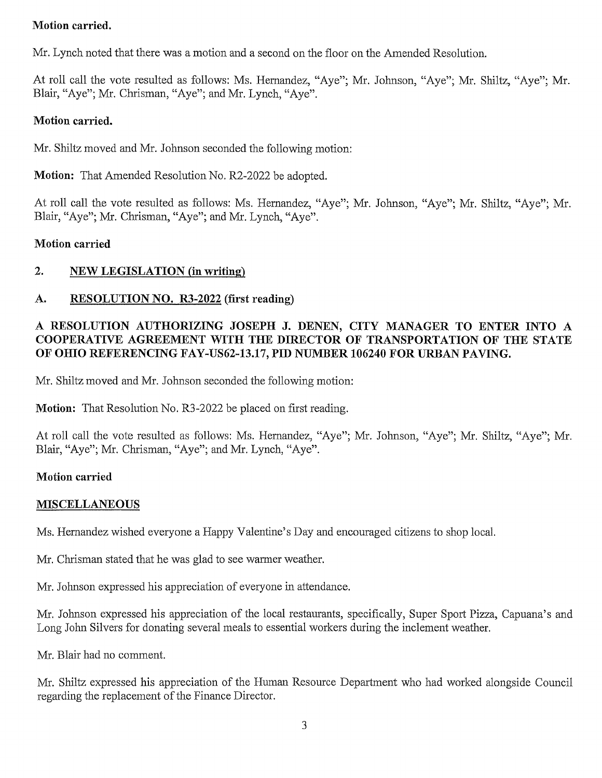#### Motion carried.

Mr. Lynch noted that there was a motion and a second on the floor on the Amended Resolution.

At roll call the vote resulted as follows: Ms. Hernandez, "Aye"; Mr. Johnson, "Aye"; Mr. Shiltz, "Aye"; Mr. Blair, "Aye"; Mr. Chrisman, "Aye"; and Mr. Lynch, "Aye".

#### Motion carried.

Mr. Shiltz moved and Mr. Johnson seconded the following motion:

Motion: That Amended Resolution No. R2-2022 be adopted.

At roll call the vote resulted as follows: Ms. Hernandez, "Aye"; Mr. Johnson, "Aye"; Mr. Shiltz, "Aye"; Mr. Blair, "Aye"; Mr. Chrisman, "Aye"; and Mr. Lynch, "Aye".

#### Motion carried

# 2. NEWLEGISLATION(in writing)

# A. RESOLUTION NO. R3-2022 (first reading)

# RESOLUTION AUTHORIZING JOSEPH J. DENEN, CITY MANAGER TO ENTER INTO A RESOLUTION AUTHORIZING JOSEPH J. DENEN, CITY MANAGER TO ENTER INTO A COOPERATIVE AGREEMENT WITH THE DIRECTOR OF TRANSPORTATION OF THE STATE COOPERATIVE AGREEMENT WITH THE DIRECTOR OF TRANSPORTATION OF THE STATE OF OHIO REFERENCING FAY-US62-13.17, PID NUMBER 106240 FOR URBAN PAVING.

Mr. Shiltz moved and Mr. Johnson seconded the following motion:

Motion: That Resolution No. R3-2022 be placed on first reading.

At roll call the vote resulted as follows: Ms. Hernandez, "Aye"; Mr. Johnson, "Aye"; Mr. Shiltz, "Aye"; Mr. Blair, "Aye"; Mr. Chrisman, "Aye"; and Mr. Lynch, "Aye".

#### Motion carried

# MISCELLANEOUS

Ms. Hernandez wished everyone a Happy Valentine's Day and encouraged citizens to shop local.

Mr. Chrisman stated that he was glad to see warmer weather.

Mr. Johnson expressed his appreciation of everyone in attendance.

Mr. Johnson expressed his appreciation of the local restaurants, specifically, Super Sport Pizza, Capuana's and Long John Silvers for donating several meals to essential workers during the inclement weather.

Mr. Blair had no comment.

Mr. Shiltz expressed his appreciation of the Human Resource Department who had worked alongside Council regarding the replacement of the Finance Director.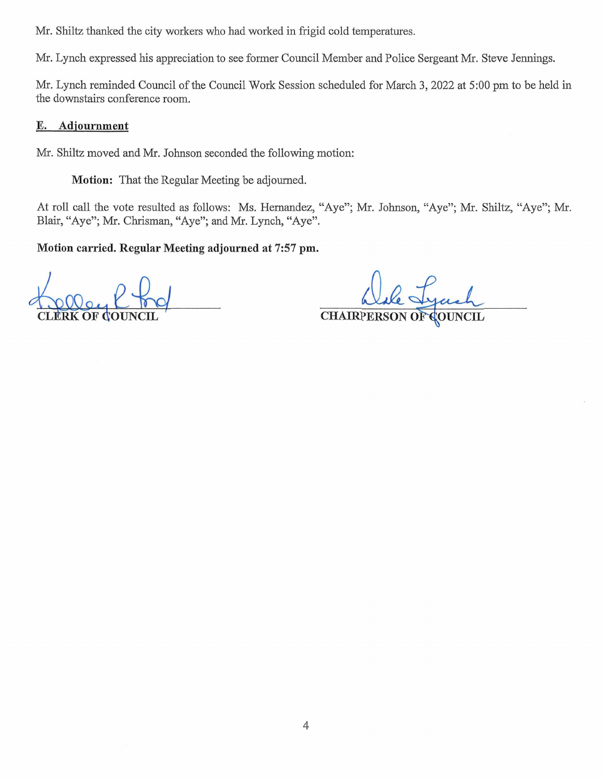Mr. Shiltz thanked the city workers who had worked in frigid cold temperatures.

Mr. Lynch expressed his appreciation to see former Council Member and Police Sergeant Mr. Steve Jennings.

Mr. Lynch reminded Council of the Council Work Session scheduled for March 3, 2022 at 5:00 pm to be held in the downstairs conference room.

#### E. Adjournment

Mr. Shiltz moved and Mr. Johnson seconded the following motion:

Motion: That the Regular Meeting be adjourned.

At roll call the vote resulted as follows: Ms. Hernandez, "Aye"; Mr. Johnson, "Aye"; Mr. Shiltz, "Aye"; Mr. Blair, "Aye"; Mr. Chrisman, "Aye"; and Mr. Lynch, "Aye".

Motion carried. Regular Meeting adjourned at 7:57 pm.

CHAIRPERSON OF COUNCIL